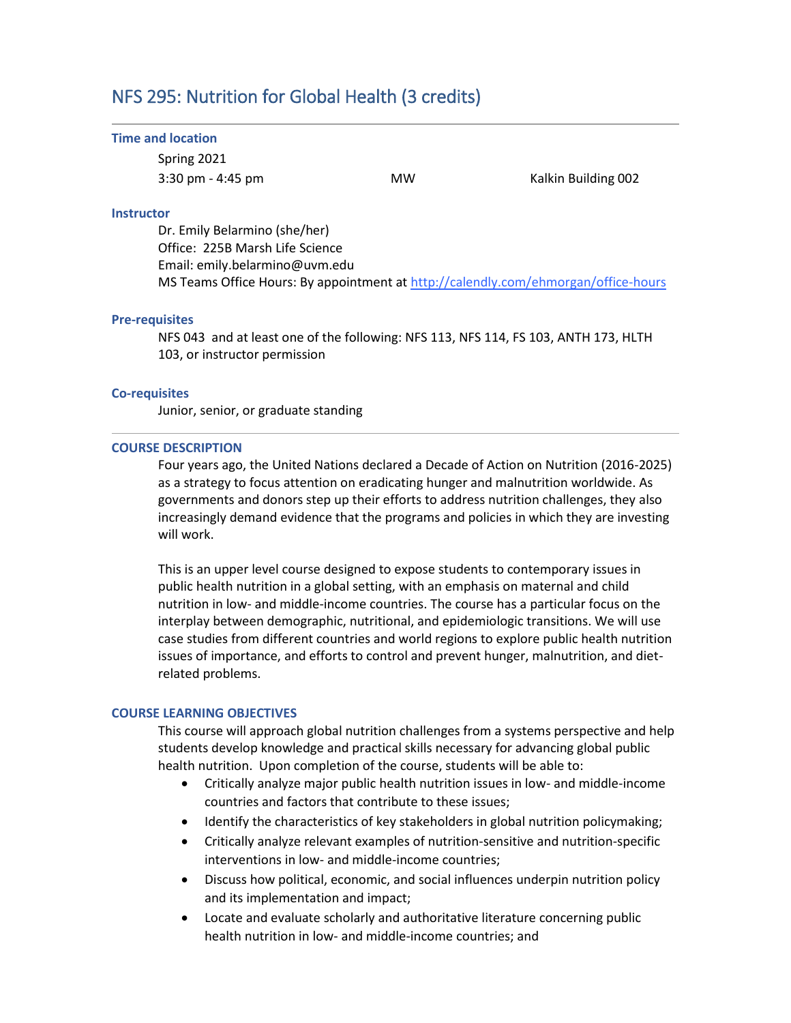# NFS 295: Nutrition for Global Health (3 credits)

#### **Time and location**

Spring 2021 3:30 pm - 4:45 pm MW Kalkin Building 002

#### **Instructor**

Dr. Emily Belarmino (she/her) Office: 225B Marsh Life Science Email: emily.belarmino@uvm.edu MS Teams Office Hours: By appointment at<http://calendly.com/ehmorgan/office-hours>

#### **Pre-requisites**

NFS 043 and at least one of the following: NFS 113, NFS 114, FS 103, ANTH 173, HLTH 103, or instructor permission

## **Co-requisites**

Junior, senior, or graduate standing

#### **COURSE DESCRIPTION**

Four years ago, the United Nations declared a Decade of Action on Nutrition (2016-2025) as a strategy to focus attention on eradicating hunger and malnutrition worldwide. As governments and donors step up their efforts to address nutrition challenges, they also increasingly demand evidence that the programs and policies in which they are investing will work.

This is an upper level course designed to expose students to contemporary issues in public health nutrition in a global setting, with an emphasis on maternal and child nutrition in low- and middle-income countries. The course has a particular focus on the interplay between demographic, nutritional, and epidemiologic transitions. We will use case studies from different countries and world regions to explore public health nutrition issues of importance, and efforts to control and prevent hunger, malnutrition, and dietrelated problems.

#### **COURSE LEARNING OBJECTIVES**

This course will approach global nutrition challenges from a systems perspective and help students develop knowledge and practical skills necessary for advancing global public health nutrition. Upon completion of the course, students will be able to:

- Critically analyze major public health nutrition issues in low- and middle-income countries and factors that contribute to these issues;
- Identify the characteristics of key stakeholders in global nutrition policymaking;
- Critically analyze relevant examples of nutrition-sensitive and nutrition-specific interventions in low- and middle-income countries;
- Discuss how political, economic, and social influences underpin nutrition policy and its implementation and impact;
- Locate and evaluate scholarly and authoritative literature concerning public health nutrition in low- and middle-income countries; and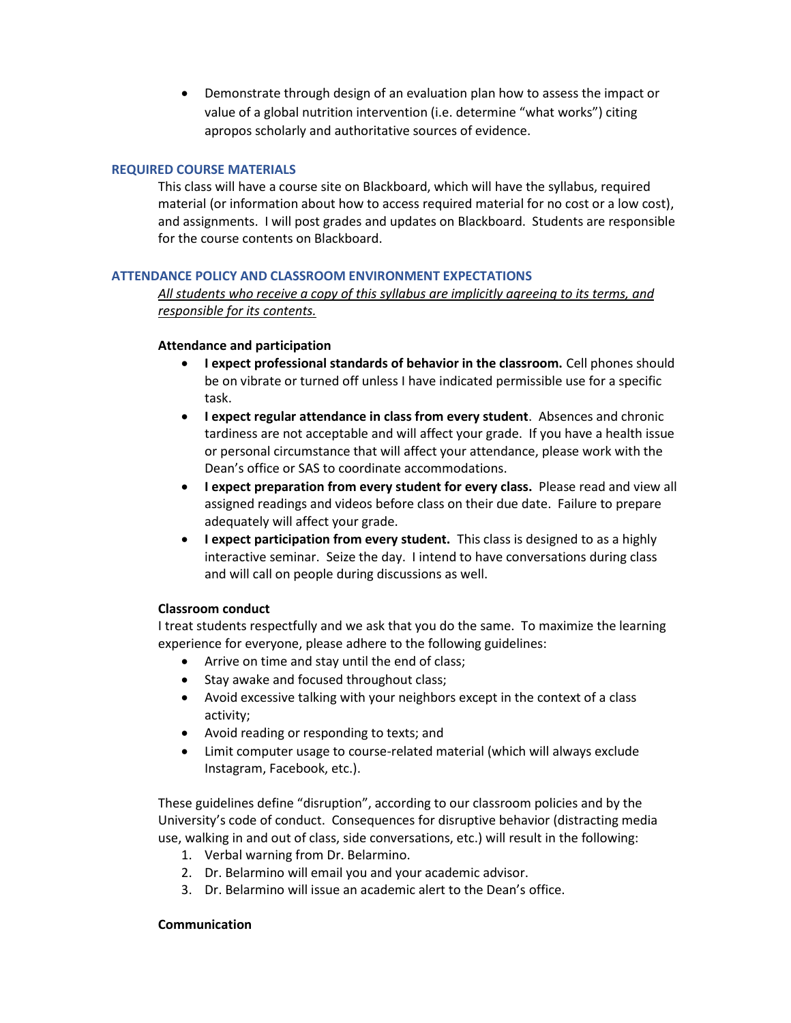Demonstrate through design of an evaluation plan how to assess the impact or value of a global nutrition intervention (i.e. determine "what works") citing apropos scholarly and authoritative sources of evidence.

## **REQUIRED COURSE MATERIALS**

This class will have a course site on Blackboard, which will have the syllabus, required material (or information about how to access required material for no cost or a low cost), and assignments. I will post grades and updates on Blackboard. Students are responsible for the course contents on Blackboard.

# **ATTENDANCE POLICY AND CLASSROOM ENVIRONMENT EXPECTATIONS**

*All students who receive a copy of this syllabus are implicitly agreeing to its terms, and responsible for its contents.*

## **Attendance and participation**

- **I expect professional standards of behavior in the classroom.** Cell phones should be on vibrate or turned off unless I have indicated permissible use for a specific task.
- **I expect regular attendance in class from every student**. Absences and chronic tardiness are not acceptable and will affect your grade. If you have a health issue or personal circumstance that will affect your attendance, please work with the Dean's office or SAS to coordinate accommodations.
- **I expect preparation from every student for every class.** Please read and view all assigned readings and videos before class on their due date. Failure to prepare adequately will affect your grade.
- **I expect participation from every student.** This class is designed to as a highly interactive seminar. Seize the day. I intend to have conversations during class and will call on people during discussions as well.

# **Classroom conduct**

I treat students respectfully and we ask that you do the same. To maximize the learning experience for everyone, please adhere to the following guidelines:

- Arrive on time and stay until the end of class;
- Stay awake and focused throughout class;
- Avoid excessive talking with your neighbors except in the context of a class activity;
- Avoid reading or responding to texts; and
- Limit computer usage to course-related material (which will always exclude Instagram, Facebook, etc.).

These guidelines define "disruption", according to our classroom policies and by the University's code of conduct. Consequences for disruptive behavior (distracting media use, walking in and out of class, side conversations, etc.) will result in the following:

- 1. Verbal warning from Dr. Belarmino.
- 2. Dr. Belarmino will email you and your academic advisor.
- 3. Dr. Belarmino will issue an academic alert to the Dean's office.

# **Communication**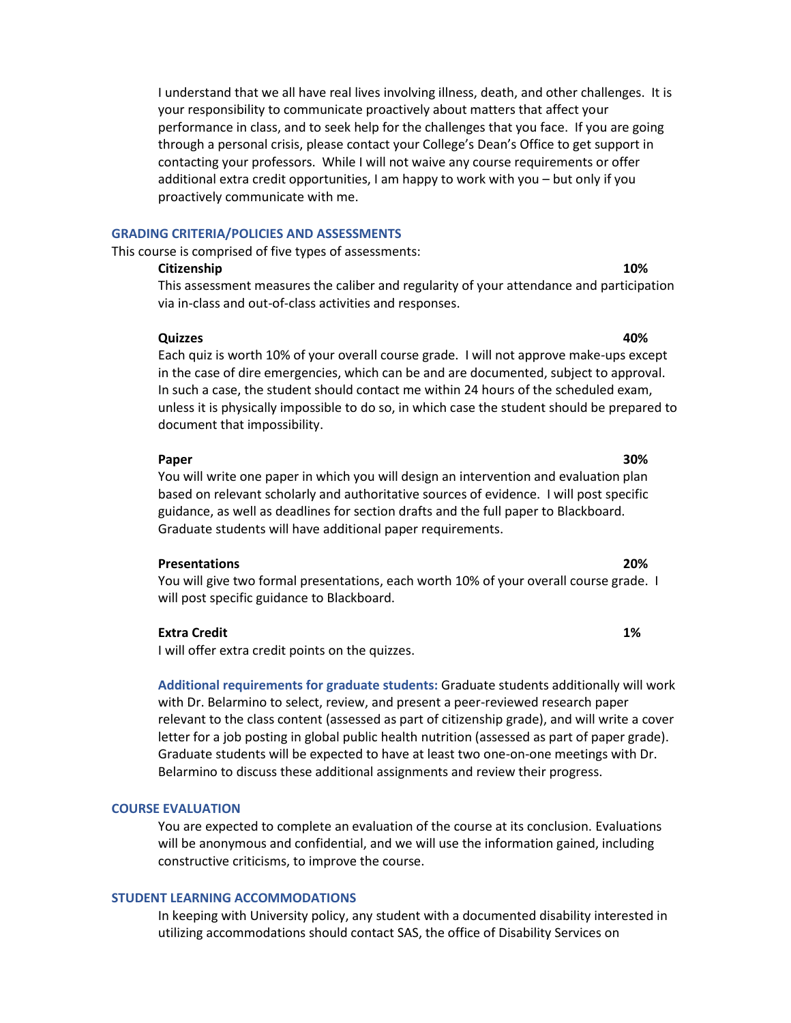I understand that we all have real lives involving illness, death, and other challenges. It is your responsibility to communicate proactively about matters that affect your performance in class, and to seek help for the challenges that you face. If you are going through a personal crisis, please contact your College's Dean's Office to get support in contacting your professors. While I will not waive any course requirements or offer additional extra credit opportunities, I am happy to work with you – but only if you proactively communicate with me.

#### **GRADING CRITERIA/POLICIES AND ASSESSMENTS**

This course is comprised of five types of assessments:

# **Citizenship 10%**

This assessment measures the caliber and regularity of your attendance and participation via in-class and out-of-class activities and responses.

## **Quizzes 40%**

Each quiz is worth 10% of your overall course grade. I will not approve make-ups except in the case of dire emergencies, which can be and are documented, subject to approval. In such a case, the student should contact me within 24 hours of the scheduled exam, unless it is physically impossible to do so, in which case the student should be prepared to document that impossibility.

#### **Paper 30%**

You will write one paper in which you will design an intervention and evaluation plan based on relevant scholarly and authoritative sources of evidence. I will post specific guidance, as well as deadlines for section drafts and the full paper to Blackboard. Graduate students will have additional paper requirements.

## **Presentations 20%**

You will give two formal presentations, each worth 10% of your overall course grade. I will post specific guidance to Blackboard.

## **Extra Credit 1%**

I will offer extra credit points on the quizzes.

**Additional requirements for graduate students:** Graduate students additionally will work with Dr. Belarmino to select, review, and present a peer-reviewed research paper relevant to the class content (assessed as part of citizenship grade), and will write a cover letter for a job posting in global public health nutrition (assessed as part of paper grade). Graduate students will be expected to have at least two one-on-one meetings with Dr. Belarmino to discuss these additional assignments and review their progress.

## **COURSE EVALUATION**

You are expected to complete an evaluation of the course at its conclusion. Evaluations will be anonymous and confidential, and we will use the information gained, including constructive criticisms, to improve the course.

## **STUDENT LEARNING ACCOMMODATIONS**

In keeping with University policy, any student with a documented disability interested in utilizing accommodations should contact SAS, the office of Disability Services on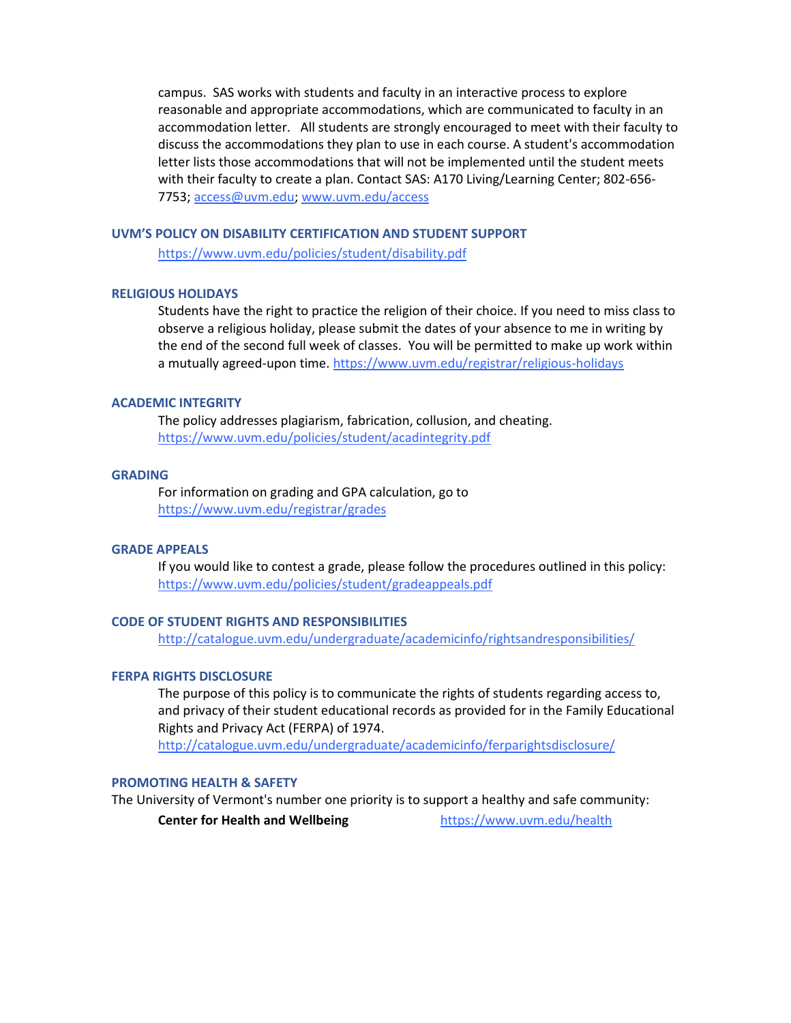campus. SAS works with students and faculty in an interactive process to explore reasonable and appropriate accommodations, which are communicated to faculty in an accommodation letter. All students are strongly encouraged to meet with their faculty to discuss the accommodations they plan to use in each course. A student's accommodation letter lists those accommodations that will not be implemented until the student meets with their faculty to create a plan. Contact SAS: A170 Living/Learning Center; 802-656- 7753; [access@uvm.edu;](mailto:access@uvm.edu) [www.uvm.edu/access](http://www.uvm.edu/access)

## **UVM'S POLICY ON DISABILITY CERTIFICATION AND STUDENT SUPPORT**

<https://www.uvm.edu/policies/student/disability.pdf>

## **RELIGIOUS HOLIDAYS**

Students have the right to practice the religion of their choice. If you need to miss class to observe a religious holiday, please submit the dates of your absence to me in writing by the end of the second full week of classes. You will be permitted to make up work within a mutually agreed-upon time. <https://www.uvm.edu/registrar/religious-holidays>

## **ACADEMIC INTEGRITY**

The policy addresses plagiarism, fabrication, collusion, and cheating. <https://www.uvm.edu/policies/student/acadintegrity.pdf>

## **GRADING**

For information on grading and GPA calculation, go to <https://www.uvm.edu/registrar/grades>

## **GRADE APPEALS**

If you would like to contest a grade, please follow the procedures outlined in this policy: <https://www.uvm.edu/policies/student/gradeappeals.pdf>

# **CODE OF STUDENT RIGHTS AND RESPONSIBILITIES**

<http://catalogue.uvm.edu/undergraduate/academicinfo/rightsandresponsibilities/>

# **FERPA RIGHTS DISCLOSURE**

The purpose of this policy is to communicate the rights of students regarding access to, and privacy of their student educational records as provided for in the Family Educational Rights and Privacy Act (FERPA) of 1974.

<http://catalogue.uvm.edu/undergraduate/academicinfo/ferparightsdisclosure/>

## **PROMOTING HEALTH & SAFETY**

The University of Vermont's number one priority is to support a healthy and safe community:

**Center for Health and Wellbeing <https://www.uvm.edu/health>**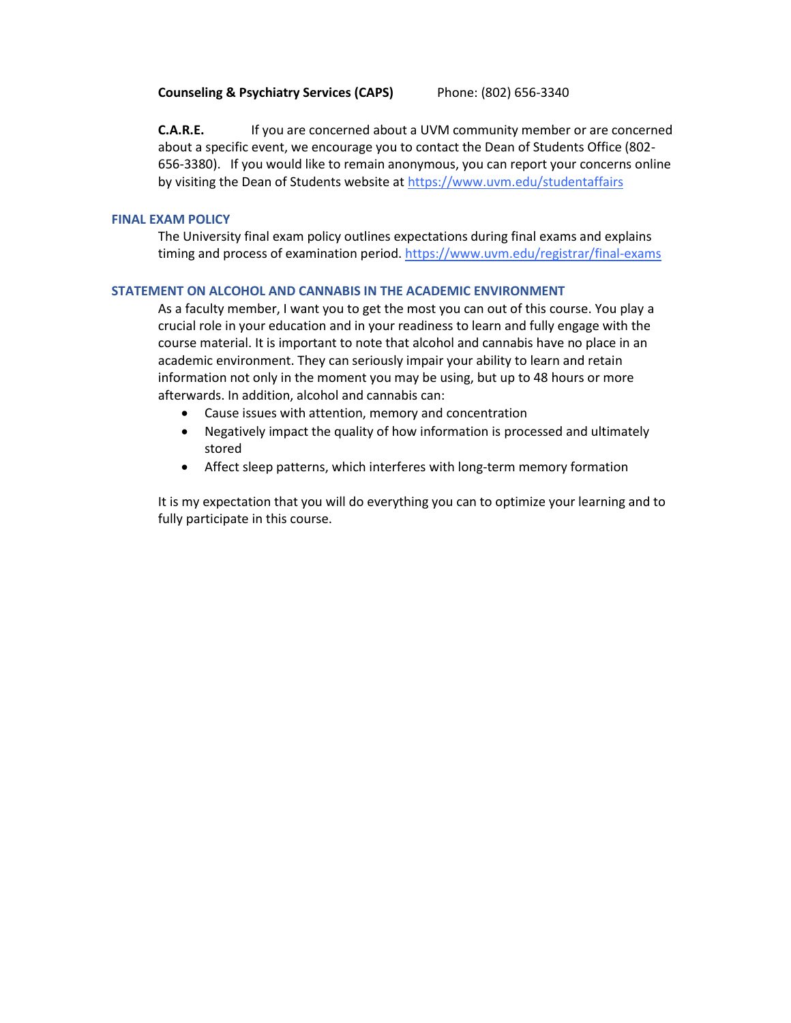**C.A.R.E.** If you are concerned about a UVM community member or are concerned about a specific event, we encourage you to contact the Dean of Students Office (802- 656-3380). If you would like to remain anonymous, you can report your concerns online by visiting the Dean of Students website a[t https://www.uvm.edu/studentaffairs](https://www.uvm.edu/studentaffairs)

## **FINAL EXAM POLICY**

The University final exam policy outlines expectations during final exams and explains timing and process of examination period[. https://www.uvm.edu/registrar/final-exams](https://www.uvm.edu/registrar/final-exams)

## **STATEMENT ON ALCOHOL AND CANNABIS IN THE ACADEMIC ENVIRONMENT**

As a faculty member, I want you to get the most you can out of this course. You play a crucial role in your education and in your readiness to learn and fully engage with the course material. It is important to note that alcohol and cannabis have no place in an academic environment. They can seriously impair your ability to learn and retain information not only in the moment you may be using, but up to 48 hours or more afterwards. In addition, alcohol and cannabis can:

- Cause issues with attention, memory and concentration
- Negatively impact the quality of how information is processed and ultimately stored
- Affect sleep patterns, which interferes with long-term memory formation

It is my expectation that you will do everything you can to optimize your learning and to fully participate in this course.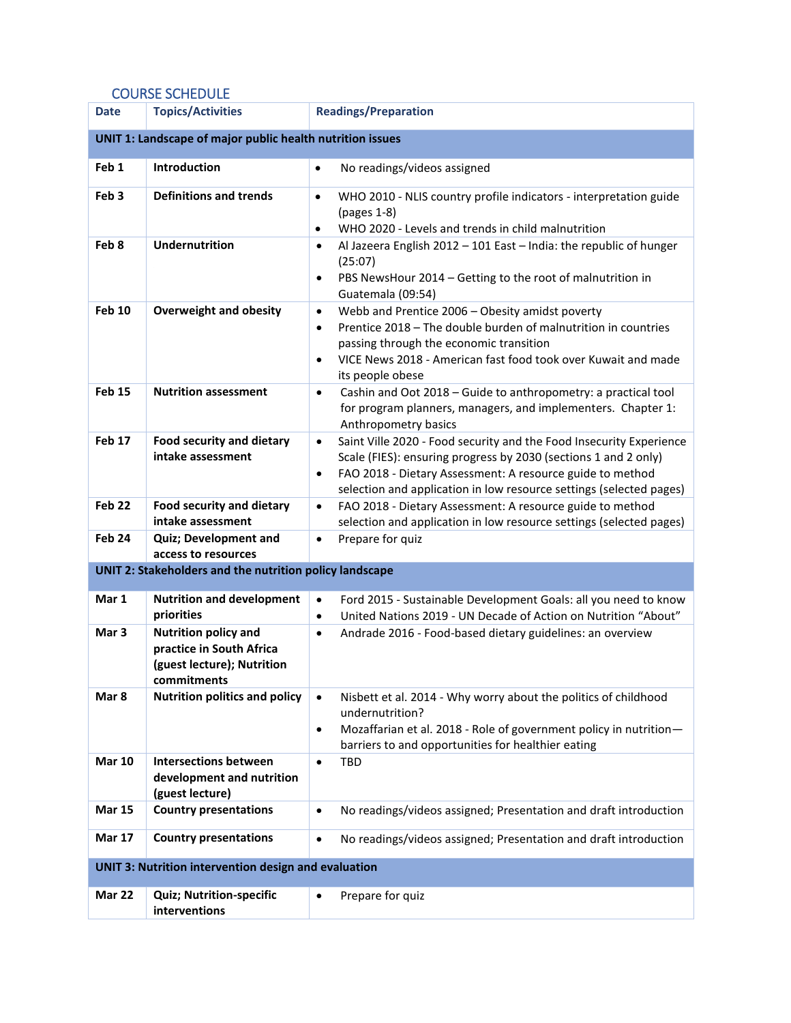# COURSE SCHEDULE

| <b>Date</b>                                                 | <b>Topics/Activities</b>                                                                             | <b>Readings/Preparation</b>                                                                                                                                                                                                                                                                          |  |
|-------------------------------------------------------------|------------------------------------------------------------------------------------------------------|------------------------------------------------------------------------------------------------------------------------------------------------------------------------------------------------------------------------------------------------------------------------------------------------------|--|
| UNIT 1: Landscape of major public health nutrition issues   |                                                                                                      |                                                                                                                                                                                                                                                                                                      |  |
| Feb <sub>1</sub>                                            | <b>Introduction</b>                                                                                  | No readings/videos assigned<br>$\bullet$                                                                                                                                                                                                                                                             |  |
| Feb <sub>3</sub>                                            | <b>Definitions and trends</b>                                                                        | WHO 2010 - NLIS country profile indicators - interpretation guide<br>$\bullet$<br>(pages 1-8)<br>WHO 2020 - Levels and trends in child malnutrition<br>$\bullet$                                                                                                                                     |  |
| Feb 8                                                       | <b>Undernutrition</b>                                                                                | Al Jazeera English 2012 - 101 East - India: the republic of hunger<br>$\bullet$<br>(25:07)<br>PBS NewsHour 2014 - Getting to the root of malnutrition in<br>$\bullet$<br>Guatemala (09:54)                                                                                                           |  |
| <b>Feb 10</b>                                               | <b>Overweight and obesity</b>                                                                        | Webb and Prentice 2006 - Obesity amidst poverty<br>$\bullet$<br>Prentice 2018 - The double burden of malnutrition in countries<br>$\bullet$<br>passing through the economic transition<br>VICE News 2018 - American fast food took over Kuwait and made<br>$\bullet$<br>its people obese             |  |
| <b>Feb 15</b>                                               | <b>Nutrition assessment</b>                                                                          | Cashin and Oot 2018 - Guide to anthropometry: a practical tool<br>$\bullet$<br>for program planners, managers, and implementers. Chapter 1:<br>Anthropometry basics                                                                                                                                  |  |
| Feb 17                                                      | <b>Food security and dietary</b><br>intake assessment                                                | Saint Ville 2020 - Food security and the Food Insecurity Experience<br>$\bullet$<br>Scale (FIES): ensuring progress by 2030 (sections 1 and 2 only)<br>FAO 2018 - Dietary Assessment: A resource guide to method<br>$\bullet$<br>selection and application in low resource settings (selected pages) |  |
| Feb <sub>22</sub>                                           | <b>Food security and dietary</b><br>intake assessment                                                | FAO 2018 - Dietary Assessment: A resource guide to method<br>$\bullet$<br>selection and application in low resource settings (selected pages)                                                                                                                                                        |  |
| Feb 24                                                      | <b>Quiz; Development and</b><br>access to resources                                                  | Prepare for quiz<br>$\bullet$                                                                                                                                                                                                                                                                        |  |
| UNIT 2: Stakeholders and the nutrition policy landscape     |                                                                                                      |                                                                                                                                                                                                                                                                                                      |  |
| Mar 1                                                       | <b>Nutrition and development</b><br>priorities                                                       | Ford 2015 - Sustainable Development Goals: all you need to know<br>$\bullet$<br>United Nations 2019 - UN Decade of Action on Nutrition "About"<br>$\bullet$                                                                                                                                          |  |
| Mar <sub>3</sub>                                            | <b>Nutrition policy and</b><br>practice in South Africa<br>(guest lecture); Nutrition<br>commitments | Andrade 2016 - Food-based dietary guidelines: an overview<br>$\bullet$                                                                                                                                                                                                                               |  |
| Mar 8                                                       | <b>Nutrition politics and policy</b>                                                                 | Nisbett et al. 2014 - Why worry about the politics of childhood<br>$\bullet$<br>undernutrition?<br>Mozaffarian et al. 2018 - Role of government policy in nutrition-<br>$\bullet$<br>barriers to and opportunities for healthier eating                                                              |  |
| <b>Mar 10</b>                                               | <b>Intersections between</b><br>development and nutrition<br>(guest lecture)                         | TBD<br>$\bullet$                                                                                                                                                                                                                                                                                     |  |
| <b>Mar 15</b>                                               | <b>Country presentations</b>                                                                         | No readings/videos assigned; Presentation and draft introduction<br>$\bullet$                                                                                                                                                                                                                        |  |
| <b>Mar 17</b>                                               | <b>Country presentations</b>                                                                         | No readings/videos assigned; Presentation and draft introduction<br>$\bullet$                                                                                                                                                                                                                        |  |
| <b>UNIT 3: Nutrition intervention design and evaluation</b> |                                                                                                      |                                                                                                                                                                                                                                                                                                      |  |
| Mar 22                                                      | <b>Quiz; Nutrition-specific</b><br>interventions                                                     | Prepare for quiz<br>$\bullet$                                                                                                                                                                                                                                                                        |  |